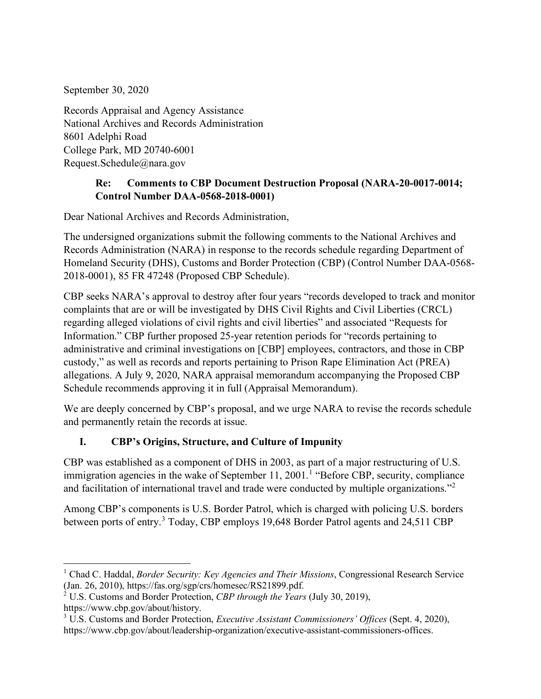September 30, 2020

Records Appraisal and Agency Assistance National Archives and Records Administration 8601 Adelphi Road College Park, MD 20740-6001 Request.Schedule@nara.gov

### **Re: Comments to CBP Document Destruction Proposal (NARA-20-0017-0014; Control Number DAA-0568-2018-0001)**

Dear National Archives and Records Administration,

The undersigned organizations submit the following comments to the National Archives and Records Administration (NARA) in response to the records schedule regarding Department of Homeland Security (DHS), Customs and Border Protection (CBP) (Control Number DAA-0568- 2018-0001), 85 FR 47248 (Proposed CBP Schedule).

CBP seeks NARA's approval to destroy after four years "records developed to track and monitor complaints that are or will be investigated by DHS Civil Rights and Civil Liberties (CRCL) regarding alleged violations of civil rights and civil liberties" and associated "Requests for Information." CBP further proposed 25-year retention periods for "records pertaining to administrative and criminal investigations on [CBP] employees, contractors, and those in CBP custody," as well as records and reports pertaining to Prison Rape Elimination Act (PREA) allegations. A July 9, 2020, NARA appraisal memorandum accompanying the Proposed CBP Schedule recommends approving it in full (Appraisal Memorandum).

We are deeply concerned by CBP's proposal, and we urge NARA to revise the records schedule and permanently retain the records at issue.

# **I. CBP's Origins, Structure, and Culture of Impunity**

CBP was established as a component of DHS in 2003, as part of a major restructuring of U.S. immigration agencies in the wake of September [1](#page-0-0)1, 2001.<sup>1</sup> "Before CBP, security, compliance and facilitation of international travel and trade were conducted by multiple organizations."<sup>[2](#page-0-1)</sup>

Among CBP's components is U.S. Border Patrol, which is charged with policing U.S. borders between ports of entry. [3](#page-0-2) Today, CBP employs 19,648 Border Patrol agents and 24,511 CBP

<span id="page-0-0"></span><sup>&</sup>lt;sup>1</sup> Chad C. Haddal, *Border Security: Key Agencies and Their Missions*, Congressional Research Service (Jan. 26, 2010), https://fas.org/sgp/crs/homesec/RS21899.pdf.

<span id="page-0-1"></span><sup>&</sup>lt;sup>2</sup> U.S. Customs and Border Protection, *CBP through the Years* (July 30, 2019),

[https://www.cbp.gov/about/history.](https://www.cbp.gov/about/history)

<span id="page-0-2"></span><sup>3</sup> U.S. Customs and Border Protection, *Executive Assistant Commissioners' Offices* (Sept. 4, 2020), https://www.cbp.gov/about/leadership-organization/executive-assistant-commissioners-offices.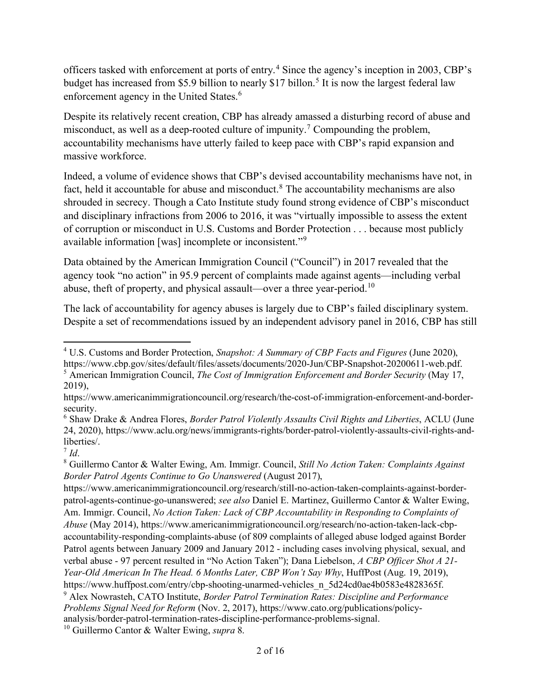officers tasked with enforcement at ports of entry.[4](#page-1-0) Since the agency's inception in 2003, CBP's budget has increased from \$[5](#page-1-1).9 billion to nearly \$17 billon.<sup>5</sup> It is now the largest federal law enforcement agency in the United States.<sup>[6](#page-1-2)</sup>

Despite its relatively recent creation, CBP has already amassed a disturbing record of abuse and misconduct, as well as a deep-rooted culture of impunity.<sup>[7](#page-1-3)</sup> Compounding the problem, accountability mechanisms have utterly failed to keep pace with CBP's rapid expansion and massive workforce.

Indeed, a volume of evidence shows that CBP's devised accountability mechanisms have not, in fact, held it accountable for abuse and misconduct.<sup>[8](#page-1-4)</sup> The accountability mechanisms are also shrouded in secrecy. Though a Cato Institute study found strong evidence of CBP's misconduct and disciplinary infractions from 2006 to 2016, it was "virtually impossible to assess the extent of corruption or misconduct in U.S. Customs and Border Protection . . . because most publicly available information [was] incomplete or inconsistent."[9](#page-1-5)

Data obtained by the American Immigration Council ("Council") in 2017 revealed that the agency took "no action" in 95.9 percent of complaints made against agents—including verbal abuse, theft of property, and physical assault—over a three year-period.<sup>[10](#page-1-6)</sup>

The lack of accountability for agency abuses is largely due to CBP's failed disciplinary system. Despite a set of recommendations issued by an independent advisory panel in 2016, CBP has still

[https://www.cbp.gov/sites/default/files/assets/documents/2020-Jun/CBP-Snapshot-20200611-web.pdf.](https://www.cbp.gov/sites/default/files/assets/documents/2020-Jun/CBP-Snapshot-20200611-web.pdf)

[https://www.americanimmigrationcouncil.org/research/still-no-action-taken-complaints-against-border](https://www.americanimmigrationcouncil.org/research/still-no-action-taken-complaints-against-border-patrol-agents-continue-go-unanswered)[patrol-agents-continue-go-unanswered;](https://www.americanimmigrationcouncil.org/research/still-no-action-taken-complaints-against-border-patrol-agents-continue-go-unanswered) *see also* Daniel E. Martinez, Guillermo Cantor & Walter Ewing, Am. Immigr. Council, *No Action Taken: Lack of CBP Accountability in Responding to Complaints of Abuse* (May 2014), https://www.americanimmigrationcouncil.org/research/no-action-taken-lack-cbpaccountability-responding-complaints-abuse (of 809 complaints of alleged abuse lodged against Border Patrol agents between January 2009 and January 2012 - including cases involving physical, sexual, and verbal abuse - 97 percent resulted in "No Action Taken"); Dana Liebelson, *A CBP Officer Shot A 21- Year-Old American In The Head. 6 Months Later, CBP Won't Say Why*, HuffPost (Aug. 19, 2019), [https://www.huffpost.com/entry/cbp-shooting-unarmed-vehicles\\_n\\_5d24cd0ae4b0583e4828365f.](https://www.huffpost.com/entry/cbp-shooting-unarmed-vehicles_n_5d24cd0ae4b0583e4828365f) <sup>9</sup> Alex Nowrasteh, CATO Institute, *Border Patrol Termination Rates: Discipline and Performance Problems Signal Need for Reform* (Nov. 2, 2017), [https://www.cato.org/publications/policy-](https://www.cato.org/publications/policy-analysis/border-patrol-termination-rates-discipline-performance-problems-signal)

<span id="page-1-5"></span>[analysis/border-patrol-termination-rates-discipline-performance-problems-signal.](https://www.cato.org/publications/policy-analysis/border-patrol-termination-rates-discipline-performance-problems-signal)

<span id="page-1-6"></span><sup>10</sup> Guillermo Cantor & Walter Ewing, *supra* 8.

<span id="page-1-0"></span><sup>4</sup> U.S. Customs and Border Protection, *Snapshot: A Summary of CBP Facts and Figures* (June 2020),

<span id="page-1-1"></span><sup>5</sup> American Immigration Council, *The Cost of Immigration Enforcement and Border Security* (May 17, 2019),

[https://www.americanimmigrationcouncil.org/research/the-cost-of-immigration-enforcement-and-border](https://www.americanimmigrationcouncil.org/research/the-cost-of-immigration-enforcement-and-border-security)[security.](https://www.americanimmigrationcouncil.org/research/the-cost-of-immigration-enforcement-and-border-security)

<span id="page-1-2"></span><sup>6</sup> Shaw Drake & Andrea Flores, *Border Patrol Violently Assaults Civil Rights and Liberties*, ACLU (June 24, 2020)[, https://www.aclu.org/news/immigrants-rights/border-patrol-violently-assaults-civil-rights-and](https://www.aclu.org/news/immigrants-rights/border-patrol-violently-assaults-civil-rights-and-liberties/)[liberties/.](https://www.aclu.org/news/immigrants-rights/border-patrol-violently-assaults-civil-rights-and-liberties/)

<span id="page-1-3"></span> $^7$  *Id*.

<span id="page-1-4"></span><sup>8</sup> Guillermo Cantor & Walter Ewing, Am. Immigr. Council, *Still No Action Taken: Complaints Against Border Patrol Agents Continue to Go Unanswered* (August 2017),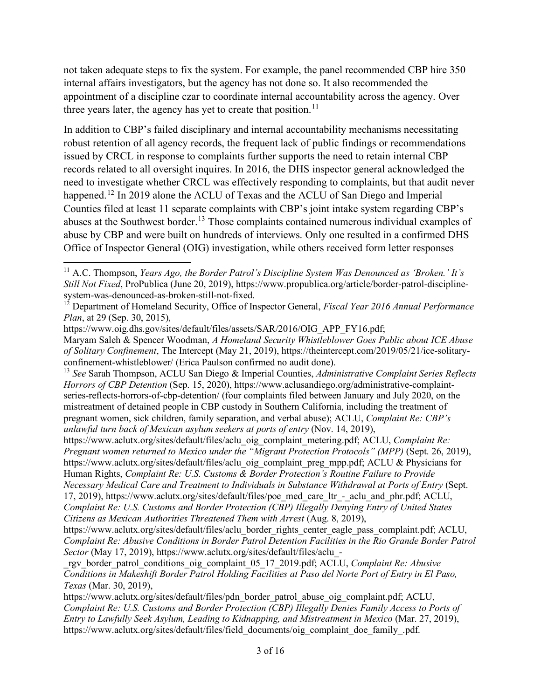not taken adequate steps to fix the system. For example, the panel recommended CBP hire 350 internal affairs investigators, but the agency has not done so. It also recommended the appointment of a discipline czar to coordinate internal accountability across the agency. Over three years later, the agency has yet to create that position.<sup>[11](#page-2-0)</sup>

In addition to CBP's failed disciplinary and internal accountability mechanisms necessitating robust retention of all agency records, the frequent lack of public findings or recommendations issued by CRCL in response to complaints further supports the need to retain internal CBP records related to all oversight inquires. In 2016, the DHS inspector general acknowledged the need to investigate whether CRCL was effectively responding to complaints, but that audit never happened.<sup>[12](#page-2-1)</sup> In 2019 alone the ACLU of Texas and the ACLU of San Diego and Imperial Counties filed at least 11 separate complaints with CBP's joint intake system regarding CBP's abuses at the Southwest border.<sup>[13](#page-2-2)</sup> Those complaints contained numerous individual examples of abuse by CBP and were built on hundreds of interviews. Only one resulted in a confirmed DHS Office of Inspector General (OIG) investigation, while others received form letter responses

<span id="page-2-0"></span><sup>11</sup> A.C. Thompson, *Years Ago, the Border Patrol's Discipline System Was Denounced as 'Broken.' It's Still Not Fixed*, ProPublica (June 20, 2019), [https://www.propublica.org/article/border-patrol-discipline](https://www.propublica.org/article/border-patrol-discipline-system-was-denounced-as-broken-still-not-fixed)[system-was-denounced-as-broken-still-not-fixed.](https://www.propublica.org/article/border-patrol-discipline-system-was-denounced-as-broken-still-not-fixed)

<span id="page-2-1"></span><sup>12</sup> Department of Homeland Security, Office of Inspector General, *Fiscal Year 2016 Annual Performance Plan*, at 29 (Sep. 30, 2015),

[https://www.oig.dhs.gov/sites/default/files/assets/SAR/2016/OIG\\_APP\\_FY16.pdf;](https://www.oig.dhs.gov/sites/default/files/assets/SAR/2016/OIG_APP_FY16.pdf)

Maryam Saleh & Spencer Woodman, *A Homeland Security Whistleblower Goes Public about ICE Abuse of Solitary Confinement*, The Intercept (May 21, 2019), [https://theintercept.com/2019/05/21/ice-solitary](https://theintercept.com/2019/05/21/ice-solitary-confinement-whistleblower/)[confinement-whistleblower/](https://theintercept.com/2019/05/21/ice-solitary-confinement-whistleblower/) (Erica Paulson confirmed no audit done).

<span id="page-2-2"></span><sup>13</sup> *See* Sarah Thompson, ACLU San Diego & Imperial Counties, *Administrative Complaint Series Reflects Horrors of CBP Detention* (Sep. 15, 2020), [https://www.aclusandiego.org/administrative-complaint](https://www.aclusandiego.org/administrative-complaint-series-reflects-horrors-of-cbp-detention/)[series-reflects-horrors-of-cbp-detention/](https://www.aclusandiego.org/administrative-complaint-series-reflects-horrors-of-cbp-detention/) (four complaints filed between January and July 2020, on the mistreatment of detained people in CBP custody in Southern California, including the treatment of pregnant women, sick children, family separation, and verbal abuse); ACLU, *Complaint Re: CBP's unlawful turn back of Mexican asylum seekers at ports of entry* (Nov. 14, 2019),

[https://www.aclutx.org/sites/default/files/aclu\\_oig\\_complaint\\_metering.pdf;](https://www.aclutx.org/sites/default/files/aclu_oig_complaint_metering.pdf) ACLU, *Complaint Re: Pregnant women returned to Mexico under the "Migrant Protection Protocols" (MPP)* (Sept. 26, 2019), [https://www.aclutx.org/sites/default/files/aclu\\_oig\\_complaint\\_preg\\_mpp.pdf;](https://www.aclutx.org/sites/default/files/aclu_oig_complaint_preg_mpp.pdf) ACLU & Physicians for Human Rights, *Complaint Re: U.S. Customs & Border Protection's Routine Failure to Provide Necessary Medical Care and Treatment to Individuals in Substance Withdrawal at Ports of Entry* (Sept. 17, 2019)[, https://www.aclutx.org/sites/default/files/poe\\_med\\_care\\_ltr\\_-\\_aclu\\_and\\_phr.pdf;](https://www.aclutx.org/sites/default/files/poe_med_care_ltr_-_aclu_and_phr.pdf) ACLU, *Complaint Re: U.S. Customs and Border Protection (CBP) Illegally Denying Entry of United States* 

*Citizens as Mexican Authorities Threatened Them with Arrest* (Aug. 8, 2019),

[https://www.aclutx.org/sites/default/files/aclu\\_border\\_rights\\_center\\_eagle\\_pass\\_complaint.pdf;](https://www.aclutx.org/sites/default/files/aclu_border_rights_center_eagle_pass_complaint.pdf) ACLU, *Complaint Re: Abusive Conditions in Border Patrol Detention Facilities in the Rio Grande Border Patrol Sector* (May 17, 2019), https://www.aclutx.org/sites/default/files/aclu\_-

\_rgv\_border\_patrol\_conditions\_oig\_complaint\_05\_17\_2019.pdf; ACLU, *Complaint Re: Abusive Conditions in Makeshift Border Patrol Holding Facilities at Paso del Norte Port of Entry in El Paso, Texas* (Mar. 30, 2019),

[https://www.aclutx.org/sites/default/files/pdn\\_border\\_patrol\\_abuse\\_oig\\_complaint.pdf;](https://www.aclutx.org/sites/default/files/pdn_border_patrol_abuse_oig_complaint.pdf) ACLU, *Complaint Re: U.S. Customs and Border Protection (CBP) Illegally Denies Family Access to Ports of Entry to Lawfully Seek Asylum, Leading to Kidnapping, and Mistreatment in Mexico* (Mar. 27, 2019), [https://www.aclutx.org/sites/default/files/field\\_documents/oig\\_complaint\\_doe\\_family\\_.pdf.](https://www.aclutx.org/sites/default/files/field_documents/oig_complaint_doe_family_.pdf)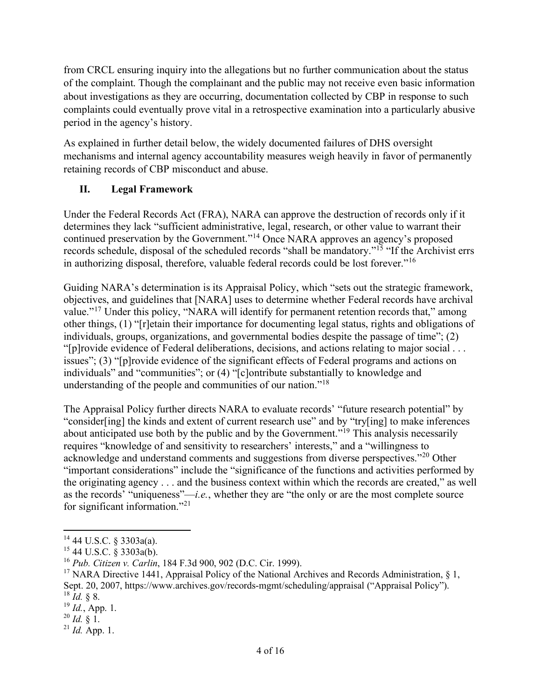from CRCL ensuring inquiry into the allegations but no further communication about the status of the complaint. Though the complainant and the public may not receive even basic information about investigations as they are occurring, documentation collected by CBP in response to such complaints could eventually prove vital in a retrospective examination into a particularly abusive period in the agency's history.

As explained in further detail below, the widely documented failures of DHS oversight mechanisms and internal agency accountability measures weigh heavily in favor of permanently retaining records of CBP misconduct and abuse.

## **II. Legal Framework**

Under the Federal Records Act (FRA), NARA can approve the destruction of records only if it determines they lack "sufficient administrative, legal, research, or other value to warrant their continued preservation by the Government."[14](#page-3-0) Once NARA approves an agency's proposed records schedule, disposal of the scheduled records "shall be mandatory."<sup>[15](#page-3-1)</sup> "If the Archivist errs in authorizing disposal, therefore, valuable federal records could be lost forever."<sup>[16](#page-3-2)</sup>

Guiding NARA's determination is its Appraisal Policy, which "sets out the strategic framework, objectives, and guidelines that [NARA] uses to determine whether Federal records have archival value."<sup>[17](#page-3-3)</sup> Under this policy, "NARA will identify for permanent retention records that," among other things, (1) "[r]etain their importance for documenting legal status, rights and obligations of individuals, groups, organizations, and governmental bodies despite the passage of time"; (2) "[p]rovide evidence of Federal deliberations, decisions, and actions relating to major social . . . issues"; (3) "[p]rovide evidence of the significant effects of Federal programs and actions on individuals" and "communities"; or (4) "[c]ontribute substantially to knowledge and understanding of the people and communities of our nation."<sup>[18](#page-3-4)</sup>

The Appraisal Policy further directs NARA to evaluate records' "future research potential" by "consider[ing] the kinds and extent of current research use" and by "try[ing] to make inferences about anticipated use both by the public and by the Government."[19](#page-3-5) This analysis necessarily requires "knowledge of and sensitivity to researchers' interests," and a "willingness to acknowledge and understand comments and suggestions from diverse perspectives."[20](#page-3-6) Other "important considerations" include the "significance of the functions and activities performed by the originating agency . . . and the business context within which the records are created," as well as the records' "uniqueness"—*i.e.*, whether they are "the only or are the most complete source for significant information."[21](#page-3-7)

<span id="page-3-0"></span> $14$  44 U.S.C. § 3303a(a).

<span id="page-3-1"></span> $15$  44 U.S.C. § 3303a(b).

<span id="page-3-2"></span><sup>16</sup> *Pub. Citizen v. Carlin*, 184 F.3d 900, 902 (D.C. Cir. 1999).

<span id="page-3-3"></span><sup>&</sup>lt;sup>17</sup> NARA Directive 1441, Appraisal Policy of the National Archives and Records Administration, § 1, Sept. 20, 2007, https://www.archives.gov/records-mgmt/scheduling/appraisal ("Appraisal Policy"). 18 *Id.* § 8.

<span id="page-3-5"></span><span id="page-3-4"></span><sup>19</sup> *Id.*, App. 1.

<span id="page-3-6"></span> $^{20}$  *Id.* § 1.

<span id="page-3-7"></span> $^{21}$  *Id.* App. 1.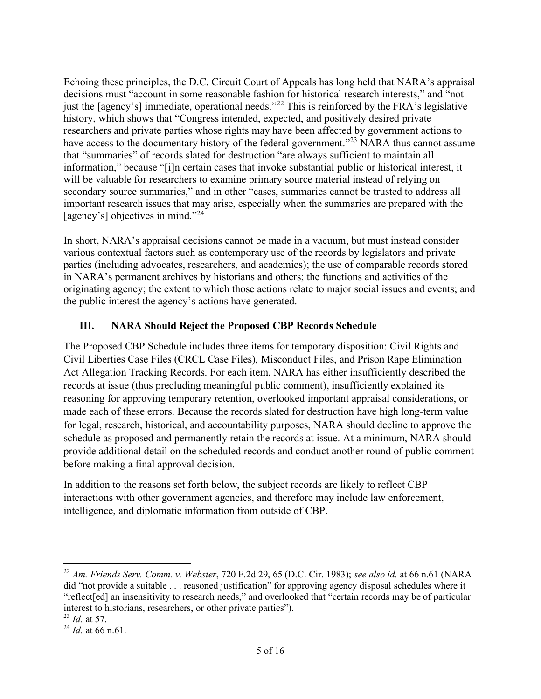Echoing these principles, the D.C. Circuit Court of Appeals has long held that NARA's appraisal decisions must "account in some reasonable fashion for historical research interests," and "not just the [agency's] immediate, operational needs."<sup>[22](#page-4-0)</sup> This is reinforced by the FRA's legislative history, which shows that "Congress intended, expected, and positively desired private researchers and private parties whose rights may have been affected by government actions to have access to the documentary history of the federal government."<sup>[23](#page-4-1)</sup> NARA thus cannot assume that "summaries" of records slated for destruction "are always sufficient to maintain all information," because "[i]n certain cases that invoke substantial public or historical interest, it will be valuable for researchers to examine primary source material instead of relying on secondary source summaries," and in other "cases, summaries cannot be trusted to address all important research issues that may arise, especially when the summaries are prepared with the [agency's] objectives in mind."<sup>[24](#page-4-2)</sup>

In short, NARA's appraisal decisions cannot be made in a vacuum, but must instead consider various contextual factors such as contemporary use of the records by legislators and private parties (including advocates, researchers, and academics); the use of comparable records stored in NARA's permanent archives by historians and others; the functions and activities of the originating agency; the extent to which those actions relate to major social issues and events; and the public interest the agency's actions have generated.

## **III. NARA Should Reject the Proposed CBP Records Schedule**

The Proposed CBP Schedule includes three items for temporary disposition: Civil Rights and Civil Liberties Case Files (CRCL Case Files), Misconduct Files, and Prison Rape Elimination Act Allegation Tracking Records. For each item, NARA has either insufficiently described the records at issue (thus precluding meaningful public comment), insufficiently explained its reasoning for approving temporary retention, overlooked important appraisal considerations, or made each of these errors. Because the records slated for destruction have high long-term value for legal, research, historical, and accountability purposes, NARA should decline to approve the schedule as proposed and permanently retain the records at issue. At a minimum, NARA should provide additional detail on the scheduled records and conduct another round of public comment before making a final approval decision.

In addition to the reasons set forth below, the subject records are likely to reflect CBP interactions with other government agencies, and therefore may include law enforcement, intelligence, and diplomatic information from outside of CBP.

<span id="page-4-0"></span><sup>22</sup> *Am. Friends Serv. Comm. v. Webster*, 720 F.2d 29, 65 (D.C. Cir. 1983); *see also id.* at 66 n.61 (NARA did "not provide a suitable . . . reasoned justification" for approving agency disposal schedules where it "reflect[ed] an insensitivity to research needs," and overlooked that "certain records may be of particular interest to historians, researchers, or other private parties").

<span id="page-4-1"></span><sup>23</sup> *Id.* at 57.

<span id="page-4-2"></span> $^{24}$  *Id.* at 66 n.61.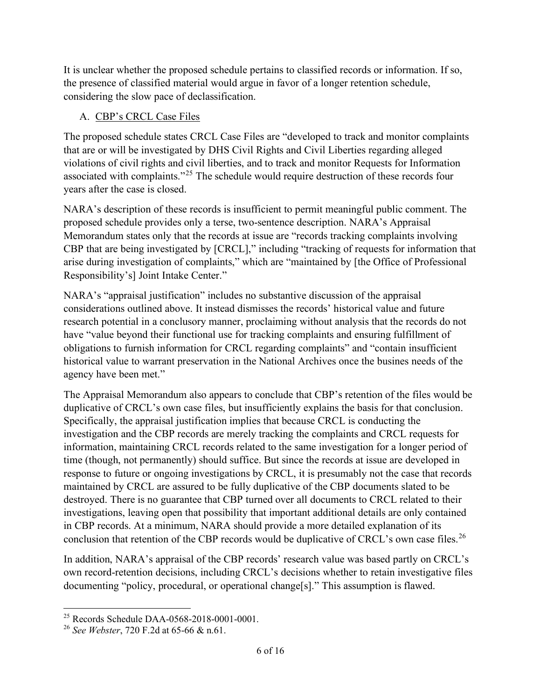It is unclear whether the proposed schedule pertains to classified records or information. If so, the presence of classified material would argue in favor of a longer retention schedule, considering the slow pace of declassification.

#### A. CBP's CRCL Case Files

The proposed schedule states CRCL Case Files are "developed to track and monitor complaints that are or will be investigated by DHS Civil Rights and Civil Liberties regarding alleged violations of civil rights and civil liberties, and to track and monitor Requests for Information associated with complaints."[25](#page-5-0) The schedule would require destruction of these records four years after the case is closed.

NARA's description of these records is insufficient to permit meaningful public comment. The proposed schedule provides only a terse, two-sentence description. NARA's Appraisal Memorandum states only that the records at issue are "records tracking complaints involving CBP that are being investigated by [CRCL]," including "tracking of requests for information that arise during investigation of complaints," which are "maintained by [the Office of Professional Responsibility's] Joint Intake Center."

NARA's "appraisal justification" includes no substantive discussion of the appraisal considerations outlined above. It instead dismisses the records' historical value and future research potential in a conclusory manner, proclaiming without analysis that the records do not have "value beyond their functional use for tracking complaints and ensuring fulfillment of obligations to furnish information for CRCL regarding complaints" and "contain insufficient historical value to warrant preservation in the National Archives once the busines needs of the agency have been met."

The Appraisal Memorandum also appears to conclude that CBP's retention of the files would be duplicative of CRCL's own case files, but insufficiently explains the basis for that conclusion. Specifically, the appraisal justification implies that because CRCL is conducting the investigation and the CBP records are merely tracking the complaints and CRCL requests for information, maintaining CRCL records related to the same investigation for a longer period of time (though, not permanently) should suffice. But since the records at issue are developed in response to future or ongoing investigations by CRCL, it is presumably not the case that records maintained by CRCL are assured to be fully duplicative of the CBP documents slated to be destroyed. There is no guarantee that CBP turned over all documents to CRCL related to their investigations, leaving open that possibility that important additional details are only contained in CBP records. At a minimum, NARA should provide a more detailed explanation of its conclusion that retention of the CBP records would be duplicative of CRCL's own case files.<sup>[26](#page-5-1)</sup>

In addition, NARA's appraisal of the CBP records' research value was based partly on CRCL's own record-retention decisions, including CRCL's decisions whether to retain investigative files documenting "policy, procedural, or operational change[s]." This assumption is flawed.

<span id="page-5-0"></span><sup>25</sup> Records Schedule DAA-0568-2018-0001-0001.

<span id="page-5-1"></span><sup>26</sup> *See Webster*, 720 F.2d at 65-66 & n.61.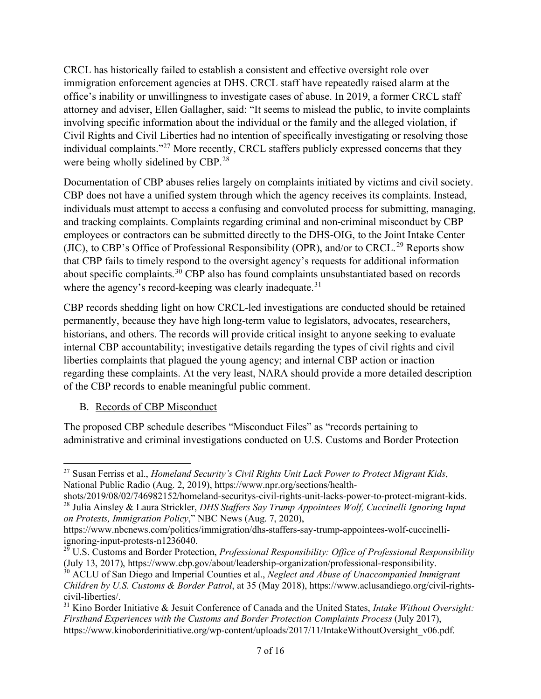CRCL has historically failed to establish a consistent and effective oversight role over immigration enforcement agencies at DHS. CRCL staff have repeatedly raised alarm at the office's inability or unwillingness to investigate cases of abuse. In 2019, a former CRCL staff attorney and adviser, Ellen Gallagher, said: "It seems to mislead the public, to invite complaints involving specific information about the individual or the family and the alleged violation, if Civil Rights and Civil Liberties had no intention of specifically investigating or resolving those individual complaints."<sup>[27](#page-6-0)</sup> More recently, CRCL staffers publicly expressed concerns that they were being wholly sidelined by CBP.<sup>28</sup>

Documentation of CBP abuses relies largely on complaints initiated by victims and civil society. CBP does not have a unified system through which the agency receives its complaints. Instead, individuals must attempt to access a confusing and convoluted process for submitting, managing, and tracking complaints. Complaints regarding criminal and non-criminal misconduct by CBP employees or contractors can be submitted directly to the DHS-OIG, to the Joint Intake Center (JIC), to CBP's Office of Professional Responsibility (OPR), and/or to CRCL.<sup>[29](#page-6-2)</sup> Reports show that CBP fails to timely respond to the oversight agency's requests for additional information about specific complaints.[30](#page-6-3) CBP also has found complaints unsubstantiated based on records where the agency's record-keeping was clearly inadequate.<sup>[31](#page-6-4)</sup>

CBP records shedding light on how CRCL-led investigations are conducted should be retained permanently, because they have high long-term value to legislators, advocates, researchers, historians, and others. The records will provide critical insight to anyone seeking to evaluate internal CBP accountability; investigative details regarding the types of civil rights and civil liberties complaints that plagued the young agency; and internal CBP action or inaction regarding these complaints. At the very least, NARA should provide a more detailed description of the CBP records to enable meaningful public comment.

B. Records of CBP Misconduct

The proposed CBP schedule describes "Misconduct Files" as "records pertaining to administrative and criminal investigations conducted on U.S. Customs and Border Protection

<span id="page-6-0"></span><sup>27</sup> Susan Ferriss et al., *Homeland Security's Civil Rights Unit Lack Power to Protect Migrant Kids*, National Public Radio (Aug. 2, 2019), [https://www.npr.org/sections/health-](https://www.npr.org/sections/health-shots/2019/08/02/746982152/homeland-securitys-civil-rights-unit-lacks-power-to-protect-migrant-kids)

<span id="page-6-1"></span>[shots/2019/08/02/746982152/homeland-securitys-civil-rights-unit-lacks-power-to-protect-migrant-kids.](https://www.npr.org/sections/health-shots/2019/08/02/746982152/homeland-securitys-civil-rights-unit-lacks-power-to-protect-migrant-kids) 28 Julia Ainsley & Laura Strickler, *DHS Staffers Say Trump Appointees Wolf, Cuccinelli Ignoring Input on Protests, Immigration Policy*," NBC News (Aug. 7, 2020),

[https://www.nbcnews.com/politics/immigration/dhs-staffers-say-trump-appointees-wolf-cuccinelli-](https://www.nbcnews.com/politics/immigration/dhs-staffers-say-trump-appointees-wolf-cuccinelli-ignoring-input-protests-n1236040)

<span id="page-6-2"></span>[ignoring-input-protests-n1236040.](https://www.nbcnews.com/politics/immigration/dhs-staffers-say-trump-appointees-wolf-cuccinelli-ignoring-input-protests-n1236040)<br><sup>29</sup> U.S. Customs and Border Protection, *Professional Responsibility: Office of Professional Responsibility* (July 13, 2017), [https://www.cbp.gov/about/leadership-organization/professional-responsibility.](https://www.cbp.gov/about/leadership-organization/professional-responsibility)

<span id="page-6-3"></span><sup>30</sup> ACLU of San Diego and Imperial Counties et al., *Neglect and Abuse of Unaccompanied Immigrant Children by U.S. Customs & Border Patrol*, at 35 (May 2018), https://www.aclusandiego.org/civil-rightscivil-liberties/.

<span id="page-6-4"></span><sup>31</sup> Kino Border Initiative & Jesuit Conference of Canada and the United States, *Intake Without Oversight: Firsthand Experiences with the Customs and Border Protection Complaints Process* (July 2017), https://www.kinoborderinitiative.org/wp-content/uploads/2017/11/IntakeWithoutOversight\_v06.pdf.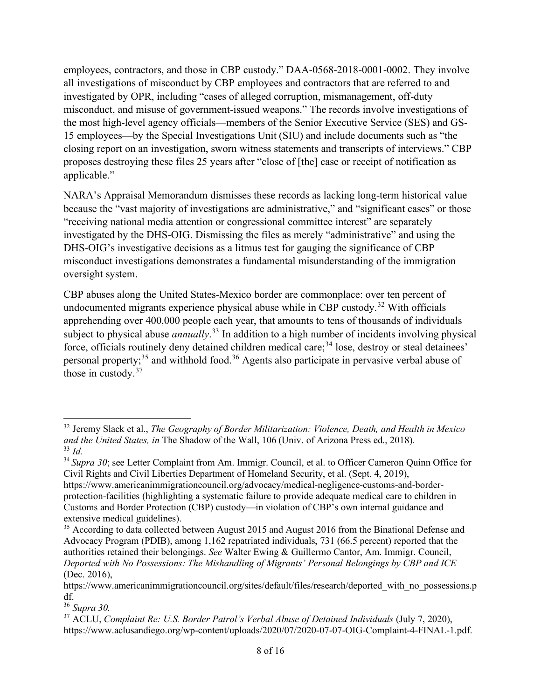employees, contractors, and those in CBP custody." DAA-0568-2018-0001-0002. They involve all investigations of misconduct by CBP employees and contractors that are referred to and investigated by OPR, including "cases of alleged corruption, mismanagement, off-duty misconduct, and misuse of government-issued weapons." The records involve investigations of the most high-level agency officials—members of the Senior Executive Service (SES) and GS-15 employees—by the Special Investigations Unit (SIU) and include documents such as "the closing report on an investigation, sworn witness statements and transcripts of interviews." CBP proposes destroying these files 25 years after "close of [the] case or receipt of notification as applicable."

NARA's Appraisal Memorandum dismisses these records as lacking long-term historical value because the "vast majority of investigations are administrative," and "significant cases" or those "receiving national media attention or congressional committee interest" are separately investigated by the DHS-OIG. Dismissing the files as merely "administrative" and using the DHS-OIG's investigative decisions as a litmus test for gauging the significance of CBP misconduct investigations demonstrates a fundamental misunderstanding of the immigration oversight system.

CBP abuses along the United States-Mexico border are commonplace: over ten percent of undocumented migrants experience physical abuse while in CBP custody.<sup>[32](#page-7-0)</sup> With officials apprehending over 400,000 people each year, that amounts to tens of thousands of individuals subject to physical abuse *annually*. [33](#page-7-1) In addition to a high number of incidents involving physical force, officials routinely deny detained children medical care;<sup>[34](#page-7-2)</sup> lose, destroy or steal detainees' personal property;<sup>[35](#page-7-3)</sup> and withhold food.<sup>[36](#page-7-4)</sup> Agents also participate in pervasive verbal abuse of those in custody.<sup>[37](#page-7-5)</sup>

<span id="page-7-0"></span><sup>32</sup> Jeremy Slack et al., *The Geography of Border Militarization: Violence, Death, and Health in Mexico and the United States, in* The Shadow of the Wall, 106 (Univ. of Arizona Press ed., 2018). <sup>33</sup> *Id.*

<span id="page-7-2"></span><span id="page-7-1"></span><sup>34</sup> *Supra 30*; see Letter Complaint from Am. Immigr. Council, et al. to Officer Cameron Quinn Office for Civil Rights and Civil Liberties Department of Homeland Security, et al. (Sept. 4, 2019),

https://www.americanimmigrationcouncil.org/advocacy/medical-negligence-customs-and-borderprotection-facilities (highlighting a systematic failure to provide adequate medical care to children in Customs and Border Protection (CBP) custody—in violation of CBP's own internal guidance and extensive medical guidelines).

<span id="page-7-3"></span><sup>&</sup>lt;sup>35</sup> According to data collected between August 2015 and August 2016 from the Binational Defense and Advocacy Program (PDIB), among 1,162 repatriated individuals, 731 (66.5 percent) reported that the authorities retained their belongings. *See* Walter Ewing & Guillermo Cantor, Am. Immigr. Council, *Deported with No Possessions: The Mishandling of Migrants' Personal Belongings by CBP and ICE* (Dec. 2016),

https://www.americanimmigrationcouncil.org/sites/default/files/research/deported with no possessions.p

<span id="page-7-4"></span>df. 36 *Supra 30.*

<span id="page-7-5"></span><sup>37</sup> ACLU, *Complaint Re: U.S. Border Patrol's Verbal Abuse of Detained Individuals* (July 7, 2020), [https://www.aclusandiego.org/wp-content/uploads/2020/07/2020-07-07-OIG-Complaint-4-FINAL-1.pdf.](https://www.aclusandiego.org/wp-content/uploads/2020/07/2020-07-07-OIG-Complaint-4-FINAL-1.pdf)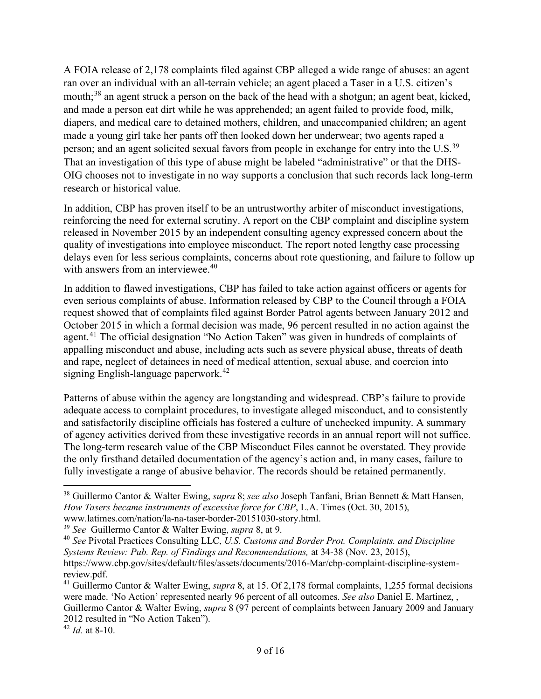A FOIA release of 2,178 complaints filed against CBP alleged a wide range of abuses: an agent ran over an individual with an all-terrain vehicle; an agent placed a Taser in a U.S. citizen's mouth;<sup>[38](#page-8-0)</sup> an agent struck a person on the back of the head with a shotgun; an agent beat, kicked, and made a person eat dirt while he was apprehended; an agent failed to provide food, milk, diapers, and medical care to detained mothers, children, and unaccompanied children; an agent made a young girl take her pants off then looked down her underwear; two agents raped a person; and an agent solicited sexual favors from people in exchange for entry into the U.S.<sup>[39](#page-8-1)</sup> That an investigation of this type of abuse might be labeled "administrative" or that the DHS-OIG chooses not to investigate in no way supports a conclusion that such records lack long-term research or historical value.

In addition, CBP has proven itself to be an untrustworthy arbiter of misconduct investigations, reinforcing the need for external scrutiny. A report on the CBP complaint and discipline system released in November 2015 by an independent consulting agency expressed concern about the quality of investigations into employee misconduct. The report noted lengthy case processing delays even for less serious complaints, concerns about rote questioning, and failure to follow up with answers from an interviewee.<sup>[40](#page-8-2)</sup>

In addition to flawed investigations, CBP has failed to take action against officers or agents for even serious complaints of abuse. Information released by CBP to the Council through a FOIA request showed that of complaints filed against Border Patrol agents between January 2012 and October 2015 in which a formal decision was made, 96 percent resulted in no action against the agent.<sup>[41](#page-8-3)</sup> The official designation "No Action Taken" was given in hundreds of complaints of appalling misconduct and abuse, including acts such as severe physical abuse, threats of death and rape, neglect of detainees in need of medical attention, sexual abuse, and coercion into signing English-language paperwork.<sup>[42](#page-8-4)</sup>

Patterns of abuse within the agency are longstanding and widespread. CBP's failure to provide adequate access to complaint procedures, to investigate alleged misconduct, and to consistently and satisfactorily discipline officials has fostered a culture of unchecked impunity. A summary of agency activities derived from these investigative records in an annual report will not suffice. The long-term research value of the CBP Misconduct Files cannot be overstated. They provide the only firsthand detailed documentation of the agency's action and, in many cases, failure to fully investigate a range of abusive behavior. The records should be retained permanently.

<span id="page-8-0"></span><sup>38</sup> Guillermo Cantor & Walter Ewing, *supra* 8; *see also* Joseph Tanfani, Brian Bennett & Matt Hansen, *How Tasers became instruments of excessive force for CBP*, L.A. Times (Oct. 30, 2015), www.latimes.com/nation/la-na-taser-border-20151030-story.html.

<span id="page-8-1"></span><sup>39</sup> *See* Guillermo Cantor & Walter Ewing, *supra* 8, at 9.

<span id="page-8-2"></span><sup>40</sup> *See* Pivotal Practices Consulting LLC, *U.S. Customs and Border Prot. Complaints. and Discipline Systems Review: Pub. Rep. of Findings and Recommendations,* at 34-38 (Nov. 23, 2015), https://www.cbp.gov/sites/default/files/assets/documents/2016-Mar/cbp-complaint-discipline-system-

<span id="page-8-3"></span>review.pdf. 41 Guillermo Cantor & Walter Ewing, *supra* 8, at 15. Of 2,178 formal complaints, 1,255 formal decisions were made. 'No Action' represented nearly 96 percent of all outcomes. *See also* Daniel E. Martinez, , Guillermo Cantor & Walter Ewing, *supra* 8 (97 percent of complaints between January 2009 and January 2012 resulted in "No Action Taken").

<span id="page-8-4"></span> $42 \over 42 \over 42$  at 8-10.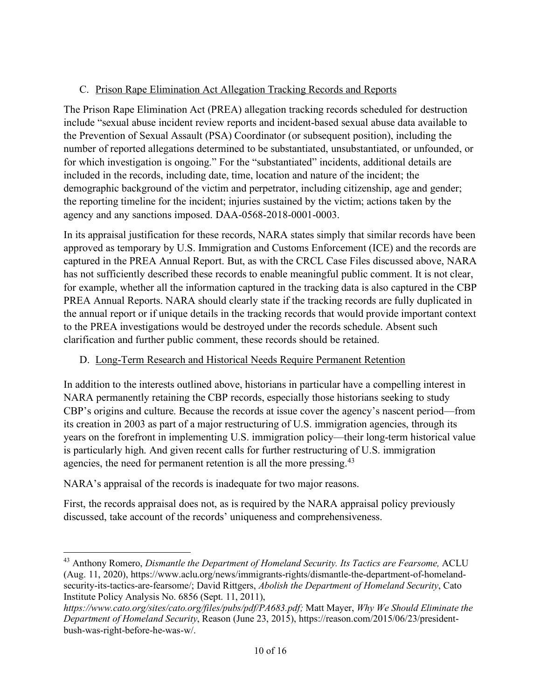### C. Prison Rape Elimination Act Allegation Tracking Records and Reports

The Prison Rape Elimination Act (PREA) allegation tracking records scheduled for destruction include "sexual abuse incident review reports and incident-based sexual abuse data available to the Prevention of Sexual Assault (PSA) Coordinator (or subsequent position), including the number of reported allegations determined to be substantiated, unsubstantiated, or unfounded, or for which investigation is ongoing." For the "substantiated" incidents, additional details are included in the records, including date, time, location and nature of the incident; the demographic background of the victim and perpetrator, including citizenship, age and gender; the reporting timeline for the incident; injuries sustained by the victim; actions taken by the agency and any sanctions imposed. DAA-0568-2018-0001-0003.

In its appraisal justification for these records, NARA states simply that similar records have been approved as temporary by U.S. Immigration and Customs Enforcement (ICE) and the records are captured in the PREA Annual Report. But, as with the CRCL Case Files discussed above, NARA has not sufficiently described these records to enable meaningful public comment. It is not clear, for example, whether all the information captured in the tracking data is also captured in the CBP PREA Annual Reports. NARA should clearly state if the tracking records are fully duplicated in the annual report or if unique details in the tracking records that would provide important context to the PREA investigations would be destroyed under the records schedule. Absent such clarification and further public comment, these records should be retained.

# D. Long-Term Research and Historical Needs Require Permanent Retention

In addition to the interests outlined above, historians in particular have a compelling interest in NARA permanently retaining the CBP records, especially those historians seeking to study CBP's origins and culture. Because the records at issue cover the agency's nascent period—from its creation in 2003 as part of a major restructuring of U.S. immigration agencies, through its years on the forefront in implementing U.S. immigration policy—their long-term historical value is particularly high. And given recent calls for further restructuring of U.S. immigration agencies, the need for permanent retention is all the more pressing.<sup>[43](#page-9-0)</sup>

NARA's appraisal of the records is inadequate for two major reasons.

First, the records appraisal does not, as is required by the NARA appraisal policy previously discussed, take account of the records' uniqueness and comprehensiveness.

<span id="page-9-0"></span><sup>43</sup> Anthony Romero, *Dismantle the Department of Homeland Security. Its Tactics are Fearsome,* ACLU (Aug. 11, 2020), [https://www.aclu.org/news/immigrants-rights/dismantle-the-department-of-homeland](https://www.aclu.org/news/immigrants-rights/dismantle-the-department-of-homeland-security-its-tactics-are-fearsome/)[security-its-tactics-are-fearsome/;](https://www.aclu.org/news/immigrants-rights/dismantle-the-department-of-homeland-security-its-tactics-are-fearsome/) David Rittgers, *Abolish the Department of Homeland Security*, Cato Institute Policy Analysis No. 6856 (Sept. 11, 2011),

*[https://www.cato.org/sites/cato.org/files/pubs/pdf/PA683.pdf;](https://www.cato.org/sites/cato.org/files/pubs/pdf/PA683.pdf)* Matt Mayer, *Why We Should Eliminate the Department of Homeland Security*, Reason (June 23, 2015), [https://reason.com/2015/06/23/president](https://reason.com/2015/06/23/president-bush-was-right-before-he-was-w/)[bush-was-right-before-he-was-w/.](https://reason.com/2015/06/23/president-bush-was-right-before-he-was-w/)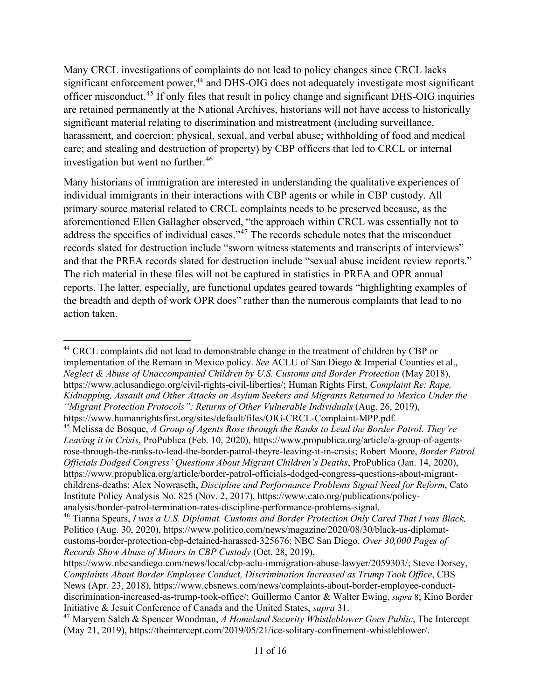Many CRCL investigations of complaints do not lead to policy changes since CRCL lacks significant enforcement power,<sup>[44](#page-10-0)</sup> and DHS-OIG does not adequately investigate most significant officer misconduct.[45](#page-10-1) If only files that result in policy change and significant DHS-OIG inquiries are retained permanently at the National Archives, historians will not have access to historically significant material relating to discrimination and mistreatment (including surveillance, harassment, and coercion; physical, sexual, and verbal abuse; withholding of food and medical care; and stealing and destruction of property) by CBP officers that led to CRCL or internal investigation but went no further.<sup>46</sup>

Many historians of immigration are interested in understanding the qualitative experiences of individual immigrants in their interactions with CBP agents or while in CBP custody. All primary source material related to CRCL complaints needs to be preserved because, as the aforementioned Ellen Gallagher observed, "the approach within CRCL was essentially not to address the specifics of individual cases."[47](#page-10-3) The records schedule notes that the misconduct records slated for destruction include "sworn witness statements and transcripts of interviews" and that the PREA records slated for destruction include "sexual abuse incident review reports." The rich material in these files will not be captured in statistics in PREA and OPR annual reports. The latter, especially, are functional updates geared towards "highlighting examples of the breadth and depth of work OPR does" rather than the numerous complaints that lead to no action taken.

<span id="page-10-0"></span><sup>&</sup>lt;sup>44</sup> CRCL complaints did not lead to demonstrable change in the treatment of children by CBP or implementation of the Remain in Mexico policy. *See* ACLU of San Diego & Imperial Counties et al., *Neglect & Abuse of Unaccompanied Children by U.S. Customs and Border Protection* (May 2018), https://www.aclusandiego.org/civil-rights-civil-liberties/; Human Rights First, *Complaint Re: Rape, Kidnapping, Assault and Other Attacks on Asylum Seekers and Migrants Returned to Mexico Under the "Migrant Protection Protocols"; Returns of Other Vulnerable Individuals* (Aug. 26, 2019), [https://www.humanrightsfirst.org/sites/default/files/OIG-CRCL-Complaint-MPP.pdf.](https://www.humanrightsfirst.org/sites/default/files/OIG-CRCL-Complaint-MPP.pdf)

<span id="page-10-1"></span><sup>45</sup> Melissa de Bosque, *A Group of Agents Rose through the Ranks to Lead the Border Patrol. They're Leaving it in Crisis*, ProPublica (Feb. 10, 2020), [https://www.propublica.org/article/a-group-of-agents](https://www.propublica.org/article/a-group-of-agents-rose-through-the-ranks-to-lead-the-border-patrol-theyre-leaving-it-in-crisis)[rose-through-the-ranks-to-lead-the-border-patrol-theyre-leaving-it-in-crisis;](https://www.propublica.org/article/a-group-of-agents-rose-through-the-ranks-to-lead-the-border-patrol-theyre-leaving-it-in-crisis) Robert Moore, *Border Patrol Officials Dodged Congress' Questions About Migrant Children's Deaths*, ProPublica (Jan. 14, 2020), [https://www.propublica.org/article/border-patrol-officials-dodged-congress-questions-about-migrant](https://www.propublica.org/article/border-patrol-officials-dodged-congress-questions-about-migrant-childrens-deaths)[childrens-deaths;](https://www.propublica.org/article/border-patrol-officials-dodged-congress-questions-about-migrant-childrens-deaths) Alex Nowraseth, *Discipline and Performance Problems Signal Need for Reform*, Cato Institute Policy Analysis No. 825 (Nov. 2, 2017), [https://www.cato.org/publications/policy](https://www.cato.org/publications/policy-analysis/border-patrol-termination-rates-discipline-performance-problems-signal)[analysis/border-patrol-termination-rates-discipline-performance-problems-signal.](https://www.cato.org/publications/policy-analysis/border-patrol-termination-rates-discipline-performance-problems-signal)

<span id="page-10-2"></span><sup>46</sup> Tianna Spears, *I was a U.S. Diplomat. Customs and Border Protection Only Cared That I was Black,*  Politico (Aug. 30, 2020)[, https://www.politico.com/news/magazine/2020/08/30/black-us-diplomat](https://www.politico.com/news/magazine/2020/08/30/black-us-diplomat-customs-border-protection-cbp-detained-harassed-325676)[customs-border-protection-cbp-detained-harassed-325676;](https://www.politico.com/news/magazine/2020/08/30/black-us-diplomat-customs-border-protection-cbp-detained-harassed-325676) NBC San Diego, *Over 30,000 Pages of Records Show Abuse of Minors in CBP Custody* (Oct. 28, 2019),

[https://www.nbcsandiego.com/news/local/cbp-aclu-immigration-abuse-lawyer/2059303/;](https://www.nbcsandiego.com/news/local/cbp-aclu-immigration-abuse-lawyer/2059303/) Steve Dorsey, *Complaints About Border Employee Conduct, Discrimination Increased as Trump Took Office*, CBS News (Apr. 23, 2018)[, https://www.cbsnews.com/news/complaints-about-border-employee-conduct](https://www.cbsnews.com/news/complaints-about-border-employee-conduct-discrimination-increased-as-trump-took-office/)[discrimination-increased-as-trump-took-office/;](https://www.cbsnews.com/news/complaints-about-border-employee-conduct-discrimination-increased-as-trump-took-office/) Guillermo Cantor & Walter Ewing, *supra* 8; Kino Border

<span id="page-10-3"></span><sup>&</sup>lt;sup>47</sup> Maryem Saleh & Spencer Woodman, *A Homeland Security Whistleblower Goes Public*, The Intercept (May 21, 2019), https://theintercept.com/2019/05/21/ice-solitary-confinement-whistleblower/.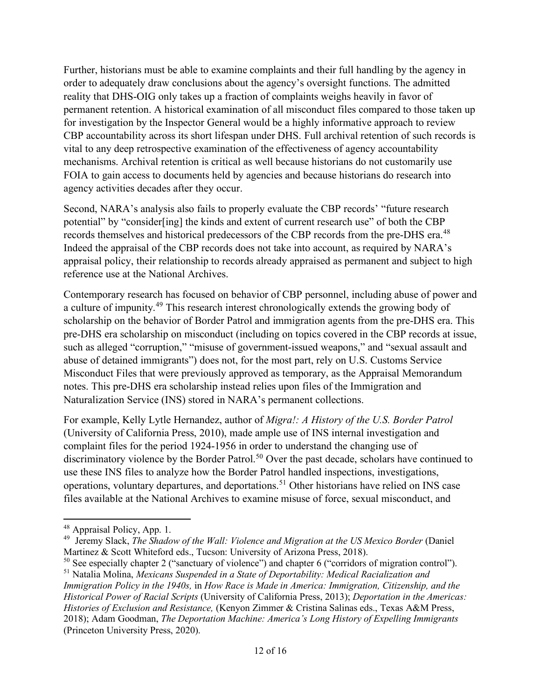Further, historians must be able to examine complaints and their full handling by the agency in order to adequately draw conclusions about the agency's oversight functions. The admitted reality that DHS-OIG only takes up a fraction of complaints weighs heavily in favor of permanent retention. A historical examination of all misconduct files compared to those taken up for investigation by the Inspector General would be a highly informative approach to review CBP accountability across its short lifespan under DHS. Full archival retention of such records is vital to any deep retrospective examination of the effectiveness of agency accountability mechanisms. Archival retention is critical as well because historians do not customarily use FOIA to gain access to documents held by agencies and because historians do research into agency activities decades after they occur.

Second, NARA's analysis also fails to properly evaluate the CBP records' "future research potential" by "consider[ing] the kinds and extent of current research use" of both the CBP records themselves and historical predecessors of the CBP records from the pre-DHS era.<sup>[48](#page-11-0)</sup> Indeed the appraisal of the CBP records does not take into account, as required by NARA's appraisal policy, their relationship to records already appraised as permanent and subject to high reference use at the National Archives.

Contemporary research has focused on behavior of CBP personnel, including abuse of power and a culture of impunity.[49](#page-11-1) This research interest chronologically extends the growing body of scholarship on the behavior of Border Patrol and immigration agents from the pre-DHS era. This pre-DHS era scholarship on misconduct (including on topics covered in the CBP records at issue, such as alleged "corruption," "misuse of government-issued weapons," and "sexual assault and abuse of detained immigrants") does not, for the most part, rely on U.S. Customs Service Misconduct Files that were previously approved as temporary, as the Appraisal Memorandum notes. This pre-DHS era scholarship instead relies upon files of the Immigration and Naturalization Service (INS) stored in NARA's permanent collections.

For example, Kelly Lytle Hernandez, author of *Migra!: A History of the U.S. Border Patrol*  (University of California Press, 2010), made ample use of INS internal investigation and complaint files for the period 1924-1956 in order to understand the changing use of discriminatory violence by the Border Patrol.<sup>[50](#page-11-2)</sup> Over the past decade, scholars have continued to use these INS files to analyze how the Border Patrol handled inspections, investigations, operations, voluntary departures, and deportations. [51](#page-11-3) Other historians have relied on INS case files available at the National Archives to examine misuse of force, sexual misconduct, and

<span id="page-11-0"></span><sup>48</sup> Appraisal Policy, App. 1.

<span id="page-11-1"></span><sup>49</sup> Jeremy Slack, *The Shadow of the Wall: Violence and Migration at the US Mexico Border* (Daniel Martinez & Scott Whiteford eds., Tucson: University of Arizona Press, 2018).

<span id="page-11-2"></span><sup>&</sup>lt;sup>50</sup> See especially chapter 2 ("sanctuary of violence") and chapter 6 ("corridors of migration control").

<span id="page-11-3"></span><sup>51</sup> Natalia Molina, *Mexicans Suspended in a State of Deportability: Medical Racialization and Immigration Policy in the 1940s,* in *How Race is Made in America: Immigration, Citizenship, and the Historical Power of Racial Scripts* (University of California Press, 2013); *Deportation in the Americas: Histories of Exclusion and Resistance,* (Kenyon Zimmer & Cristina Salinas eds., Texas A&M Press, 2018); Adam Goodman, *The Deportation Machine: America's Long History of Expelling Immigrants* (Princeton University Press, 2020).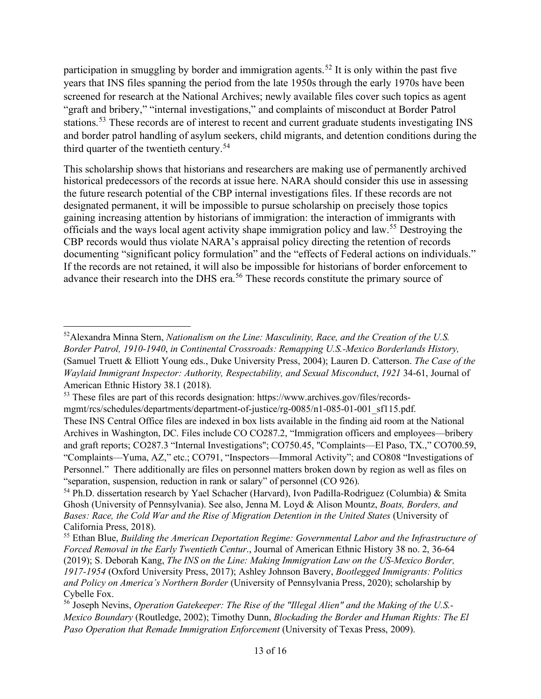participation in smuggling by border and immigration agents.<sup>[52](#page-12-0)</sup> It is only within the past five years that INS files spanning the period from the late 1950s through the early 1970s have been screened for research at the National Archives; newly available files cover such topics as agent "graft and bribery," "internal investigations," and complaints of misconduct at Border Patrol stations.<sup>[53](#page-12-1)</sup> These records are of interest to recent and current graduate students investigating INS and border patrol handling of asylum seekers, child migrants, and detention conditions during the third quarter of the twentieth century.<sup>54</sup>

This scholarship shows that historians and researchers are making use of permanently archived historical predecessors of the records at issue here. NARA should consider this use in assessing the future research potential of the CBP internal investigations files. If these records are not designated permanent, it will be impossible to pursue scholarship on precisely those topics gaining increasing attention by historians of immigration: the interaction of immigrants with officials and the ways local agent activity shape immigration policy and law.[55](#page-12-3) Destroying the CBP records would thus violate NARA's appraisal policy directing the retention of records documenting "significant policy formulation" and the "effects of Federal actions on individuals." If the records are not retained, it will also be impossible for historians of border enforcement to advance their research into the DHS era.<sup>[56](#page-12-4)</sup> These records constitute the primary source of

<span id="page-12-0"></span><sup>52</sup>Alexandra Minna Stern, *Nationalism on the Line: Masculinity, Race, and the Creation of the U.S. Border Patrol, 1910-1940*, *in Continental Crossroads: Remapping U.S.-Mexico Borderlands History,*  (Samuel Truett & Elliott Young eds., Duke University Press, 2004); Lauren D. Catterson. *The Case of the Waylaid Immigrant Inspector: Authority, Respectability, and Sexual Misconduct*, *1921* 34-61, Journal of American Ethnic History 38.1 (2018).

<span id="page-12-1"></span><sup>53</sup> These files are part of this records designation[: https://www.archives.gov/files/records-](https://linkprotect.cudasvc.com/url?a=https%3a%2f%2fwww.archives.gov%2ffiles%2frecords-mgmt%2frcs%2fschedules%2fdepartments%2fdepartment-of-justice%2frg-0085%2fn1-085-01-001_sf115.pdf&c=E,1,gTwypoXUQHx8LGuzOPb51D616P6B0tvE027BKqIna2bSuK5AR-_rqd0A_aN4inZafkIqbmTlkKOoov4yfgJlomYr0OxDi-ZZoIKdU5HCseta2iQmr5Wv3mmgEok,&typo=1)

[mgmt/rcs/schedules/departments/department-of-justice/rg-0085/n1-085-01-001\\_sf115.pdf.](https://linkprotect.cudasvc.com/url?a=https%3a%2f%2fwww.archives.gov%2ffiles%2frecords-mgmt%2frcs%2fschedules%2fdepartments%2fdepartment-of-justice%2frg-0085%2fn1-085-01-001_sf115.pdf&c=E,1,gTwypoXUQHx8LGuzOPb51D616P6B0tvE027BKqIna2bSuK5AR-_rqd0A_aN4inZafkIqbmTlkKOoov4yfgJlomYr0OxDi-ZZoIKdU5HCseta2iQmr5Wv3mmgEok,&typo=1)

These INS Central Office files are indexed in box lists available in the finding aid room at the National Archives in Washington, DC. Files include CO CO287.2, "Immigration officers and employees—bribery and graft reports; CO287.3 "Internal Investigations"; CO750.45, "Complaints—El Paso, TX.," CO700.59, "Complaints—Yuma, AZ," etc.; CO791, "Inspectors—Immoral Activity"; and CO808 "Investigations of Personnel." There additionally are files on personnel matters broken down by region as well as files on "separation, suspension, reduction in rank or salary" of personnel (CO 926).

<span id="page-12-2"></span><sup>&</sup>lt;sup>54</sup> Ph.D. dissertation research by Yael Schacher (Harvard), Ivon Padilla-Rodriguez (Columbia) & Smita Ghosh (University of Pennsylvania). See also, Jenna M. Loyd & Alison Mountz, *Boats, Borders, and Bases: Race, the Cold War and the Rise of Migration Detention in the United States* (University of California Press, 2018).

<span id="page-12-3"></span><sup>55</sup> Ethan Blue, *Building the American Deportation Regime: Governmental Labor and the Infrastructure of Forced Removal in the Early Twentieth Centur*., Journal of American Ethnic History 38 no. 2, 36-64 (2019); S. Deborah Kang, *The INS on the Line: Making Immigration Law on the US-Mexico Border, 1917-1954* (Oxford University Press, 2017); Ashley Johnson Bavery, *Bootlegged Immigrants: Politics and Policy on America's Northern Border* (University of Pennsylvania Press, 2020); scholarship by Cybelle Fox.

<span id="page-12-4"></span><sup>56</sup> Joseph Nevins, *Operation Gatekeeper: The Rise of the "Illegal Alien" and the Making of the U.S.- Mexico Boundary* (Routledge, 2002); Timothy Dunn, *Blockading the Border and Human Rights: The El Paso Operation that Remade Immigration Enforcement* (University of Texas Press, 2009).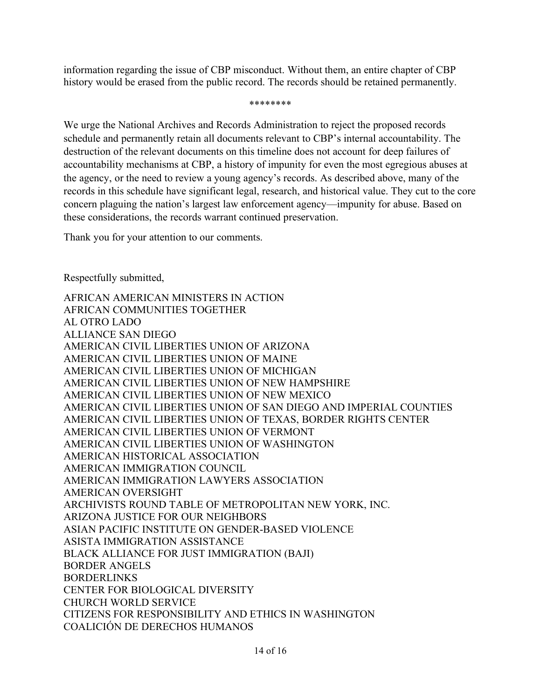information regarding the issue of CBP misconduct. Without them, an entire chapter of CBP history would be erased from the public record. The records should be retained permanently.

\*\*\*\*\*\*\*\*

We urge the National Archives and Records Administration to reject the proposed records schedule and permanently retain all documents relevant to CBP's internal accountability. The destruction of the relevant documents on this timeline does not account for deep failures of accountability mechanisms at CBP, a history of impunity for even the most egregious abuses at the agency, or the need to review a young agency's records. As described above, many of the records in this schedule have significant legal, research, and historical value. They cut to the core concern plaguing the nation's largest law enforcement agency—impunity for abuse. Based on these considerations, the records warrant continued preservation.

Thank you for your attention to our comments.

Respectfully submitted,

AFRICAN AMERICAN MINISTERS IN ACTION AFRICAN COMMUNITIES TOGETHER AL OTRO LADO ALLIANCE SAN DIEGO AMERICAN CIVIL LIBERTIES UNION OF ARIZONA AMERICAN CIVIL LIBERTIES UNION OF MAINE AMERICAN CIVIL LIBERTIES UNION OF MICHIGAN AMERICAN CIVIL LIBERTIES UNION OF NEW HAMPSHIRE AMERICAN CIVIL LIBERTIES UNION OF NEW MEXICO AMERICAN CIVIL LIBERTIES UNION OF SAN DIEGO AND IMPERIAL COUNTIES AMERICAN CIVIL LIBERTIES UNION OF TEXAS, BORDER RIGHTS CENTER AMERICAN CIVIL LIBERTIES UNION OF VERMONT AMERICAN CIVIL LIBERTIES UNION OF WASHINGTON AMERICAN HISTORICAL ASSOCIATION AMERICAN IMMIGRATION COUNCIL AMERICAN IMMIGRATION LAWYERS ASSOCIATION AMERICAN OVERSIGHT ARCHIVISTS ROUND TABLE OF METROPOLITAN NEW YORK, INC. ARIZONA JUSTICE FOR OUR NEIGHBORS ASIAN PACIFIC INSTITUTE ON GENDER-BASED VIOLENCE ASISTA IMMIGRATION ASSISTANCE BLACK ALLIANCE FOR JUST IMMIGRATION (BAJI) BORDER ANGELS BORDERLINKS CENTER FOR BIOLOGICAL DIVERSITY CHURCH WORLD SERVICE CITIZENS FOR RESPONSIBILITY AND ETHICS IN WASHINGTON COALICIÓN DE DERECHOS HUMANOS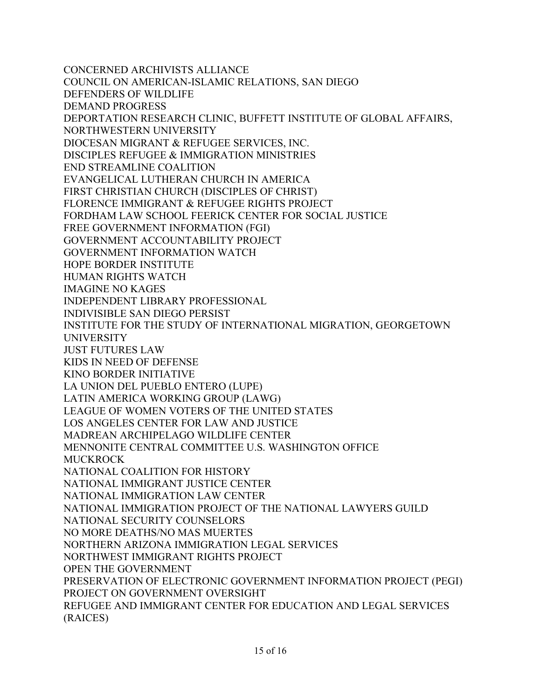CONCERNED ARCHIVISTS ALLIANCE COUNCIL ON AMERICAN-ISLAMIC RELATIONS, SAN DIEGO DEFENDERS OF WILDLIFE DEMAND PROGRESS DEPORTATION RESEARCH CLINIC, BUFFETT INSTITUTE OF GLOBAL AFFAIRS, NORTHWESTERN UNIVERSITY DIOCESAN MIGRANT & REFUGEE SERVICES, INC. DISCIPLES REFUGEE & IMMIGRATION MINISTRIES END STREAMLINE COALITION EVANGELICAL LUTHERAN CHURCH IN AMERICA FIRST CHRISTIAN CHURCH (DISCIPLES OF CHRIST) FLORENCE IMMIGRANT & REFUGEE RIGHTS PROJECT FORDHAM LAW SCHOOL FEERICK CENTER FOR SOCIAL JUSTICE FREE GOVERNMENT INFORMATION (FGI) GOVERNMENT ACCOUNTABILITY PROJECT GOVERNMENT INFORMATION WATCH HOPE BORDER INSTITUTE HUMAN RIGHTS WATCH IMAGINE NO KAGES INDEPENDENT LIBRARY PROFESSIONAL INDIVISIBLE SAN DIEGO PERSIST INSTITUTE FOR THE STUDY OF INTERNATIONAL MIGRATION, GEORGETOWN UNIVERSITY JUST FUTURES LAW KIDS IN NEED OF DEFENSE KINO BORDER INITIATIVE LA UNION DEL PUEBLO ENTERO (LUPE) LATIN AMERICA WORKING GROUP (LAWG) LEAGUE OF WOMEN VOTERS OF THE UNITED STATES LOS ANGELES CENTER FOR LAW AND JUSTICE MADREAN ARCHIPELAGO WILDLIFE CENTER MENNONITE CENTRAL COMMITTEE U.S. WASHINGTON OFFICE MUCKROCK NATIONAL COALITION FOR HISTORY NATIONAL IMMIGRANT JUSTICE CENTER NATIONAL IMMIGRATION LAW CENTER NATIONAL IMMIGRATION PROJECT OF THE NATIONAL LAWYERS GUILD NATIONAL SECURITY COUNSELORS NO MORE DEATHS/NO MAS MUERTES NORTHERN ARIZONA IMMIGRATION LEGAL SERVICES NORTHWEST IMMIGRANT RIGHTS PROJECT OPEN THE GOVERNMENT PRESERVATION OF ELECTRONIC GOVERNMENT INFORMATION PROJECT (PEGI) PROJECT ON GOVERNMENT OVERSIGHT REFUGEE AND IMMIGRANT CENTER FOR EDUCATION AND LEGAL SERVICES (RAICES)